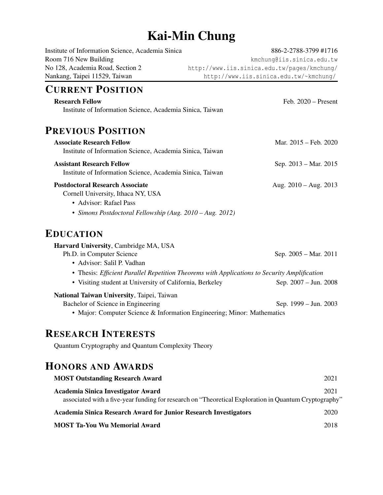# Kai-Min Chung

| Institute of Information Science, Academia Sinica         | 886-2-2788-3799 #1716                                                                        |
|-----------------------------------------------------------|----------------------------------------------------------------------------------------------|
| Room 716 New Building                                     | kmchung@iis.sinica.edu.tw                                                                    |
| No 128, Academia Road, Section 2                          | http://www.iis.sinica.edu.tw/pages/kmchung/                                                  |
| Nankang, Taipei 11529, Taiwan                             | http://www.iis.sinica.edu.tw/~kmchung/                                                       |
| <b>CURRENT POSITION</b>                                   |                                                                                              |
| <b>Research Fellow</b>                                    | Feb. $2020$ – Present                                                                        |
| Institute of Information Science, Academia Sinica, Taiwan |                                                                                              |
| <b>PREVIOUS POSITION</b>                                  |                                                                                              |
| <b>Associate Research Fellow</b>                          | Mar. 2015 - Feb. 2020                                                                        |
| Institute of Information Science, Academia Sinica, Taiwan |                                                                                              |
| <b>Assistant Research Fellow</b>                          | Sep. 2013 – Mar. 2015                                                                        |
| Institute of Information Science, Academia Sinica, Taiwan |                                                                                              |
| <b>Postdoctoral Research Associate</b>                    | Aug. $2010 - Aug. 2013$                                                                      |
| Cornell University, Ithaca NY, USA                        |                                                                                              |
| • Advisor: Rafael Pass                                    |                                                                                              |
| • Simons Postdoctoral Fellowship (Aug. 2010 – Aug. 2012)  |                                                                                              |
| <b>EDUCATION</b>                                          |                                                                                              |
| Harvard University, Cambridge MA, USA                     |                                                                                              |
| Ph.D. in Computer Science                                 | Sep. 2005 - Mar. 2011                                                                        |
| • Advisor: Salil P. Vadhan                                |                                                                                              |
|                                                           | • Thesis: Efficient Parallel Repetition Theorems with Applications to Security Amplification |
| • Visiting student at University of California, Berkeley  | Sep. 2007 - Jun. 2008                                                                        |
| National Taiwan University, Taipei, Taiwan                |                                                                                              |
|                                                           | $1000 - 7$ $2000$                                                                            |

Bachelor of Science in Engineering Sep. 1999 – Jun. 2003 • Major: Computer Science & Information Engineering; Minor: Mathematics

# RESEARCH INTERESTS

Quantum Cryptography and Quantum Complexity Theory

# HONORS AND AWARDS

| <b>MOST Outstanding Research Award</b>                                                                | 2021 |
|-------------------------------------------------------------------------------------------------------|------|
| Academia Sinica Investigator Award                                                                    | 2021 |
| associated with a five-year funding for research on "Theoretical Exploration in Quantum Cryptography" |      |
| <b>Academia Sinica Research Award for Junior Research Investigators</b>                               | 2020 |
| <b>MOST Ta-You Wu Memorial Award</b>                                                                  | 2018 |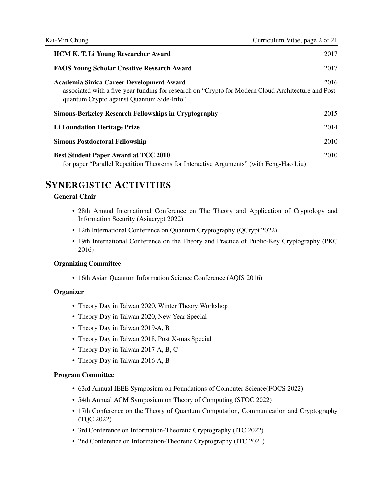| <b>IICM K. T. Li Young Researcher Award</b>                                                                                                                                                  | 2017 |
|----------------------------------------------------------------------------------------------------------------------------------------------------------------------------------------------|------|
| <b>FAOS Young Scholar Creative Research Award</b>                                                                                                                                            | 2017 |
| Academia Sinica Career Development Award<br>associated with a five-year funding for research on "Crypto for Modern Cloud Architecture and Post-<br>quantum Crypto against Quantum Side-Info" | 2016 |
| <b>Simons-Berkeley Research Fellowships in Cryptography</b>                                                                                                                                  | 2015 |
| Li Foundation Heritage Prize                                                                                                                                                                 | 2014 |
| <b>Simons Postdoctoral Fellowship</b>                                                                                                                                                        | 2010 |
| <b>Best Student Paper Award at TCC 2010</b><br>for paper "Parallel Repetition Theorems for Interactive Arguments" (with Feng-Hao Liu)                                                        | 2010 |

## SYNERGISTIC ACTIVITIES

### General Chair

- 28th Annual International Conference on The Theory and Application of Cryptology and Information Security (Asiacrypt 2022)
- 12th International Conference on Quantum Cryptography (QCrypt 2022)
- 19th International Conference on the Theory and Practice of Public-Key Cryptography (PKC 2016)

#### Organizing Committee

• 16th Asian Quantum Information Science Conference (AQIS 2016)

#### **Organizer**

- Theory Day in Taiwan 2020, Winter Theory Workshop
- Theory Day in Taiwan 2020, New Year Special
- Theory Day in Taiwan 2019-A, B
- Theory Day in Taiwan 2018, Post X-mas Special
- Theory Day in Taiwan 2017-A, B, C
- Theory Day in Taiwan 2016-A, B

#### Program Committee

- 63rd Annual IEEE Symposium on Foundations of Computer Science(FOCS 2022)
- 54th Annual ACM Symposium on Theory of Computing (STOC 2022)
- 17th Conference on the Theory of Quantum Computation, Communication and Cryptography (TQC 2022)
- 3rd Conference on Information-Theoretic Cryptography (ITC 2022)
- 2nd Conference on Information-Theoretic Cryptography (ITC 2021)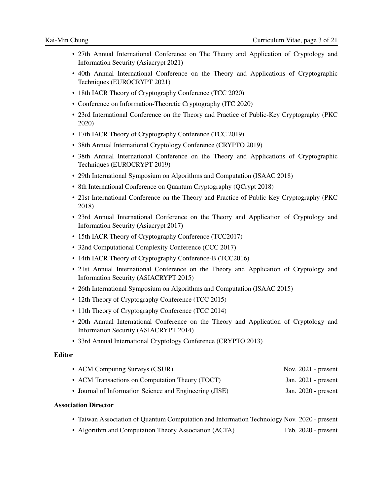- 27th Annual International Conference on The Theory and Application of Cryptology and Information Security (Asiacrypt 2021)
- 40th Annual International Conference on the Theory and Applications of Cryptographic Techniques (EUROCRYPT 2021)
- 18th IACR Theory of Cryptography Conference (TCC 2020)
- Conference on Information-Theoretic Cryptography (ITC 2020)
- 23rd International Conference on the Theory and Practice of Public-Key Cryptography (PKC 2020)
- 17th IACR Theory of Cryptography Conference (TCC 2019)
- 38th Annual International Cryptology Conference (CRYPTO 2019)
- 38th Annual International Conference on the Theory and Applications of Cryptographic Techniques (EUROCRYPT 2019)
- 29th International Symposium on Algorithms and Computation (ISAAC 2018)
- 8th International Conference on Quantum Cryptography (QCrypt 2018)
- 21st International Conference on the Theory and Practice of Public-Key Cryptography (PKC 2018)
- 23rd Annual International Conference on the Theory and Application of Cryptology and Information Security (Asiacrypt 2017)
- 15th IACR Theory of Cryptography Conference (TCC2017)
- 32nd Computational Complexity Conference (CCC 2017)
- 14th IACR Theory of Cryptography Conference-B (TCC2016)
- 21st Annual International Conference on the Theory and Application of Cryptology and Information Security (ASIACRYPT 2015)
- 26th International Symposium on Algorithms and Computation (ISAAC 2015)
- 12th Theory of Cryptography Conference (TCC 2015)
- 11th Theory of Cryptography Conference (TCC 2014)
- 20th Annual International Conference on the Theory and Application of Cryptology and Information Security (ASIACRYPT 2014)
- 33rd Annual International Cryptology Conference (CRYPTO 2013)

#### Editor

| • ACM Computing Surveys (CSUR)                          | Nov. $2021$ - present |  |
|---------------------------------------------------------|-----------------------|--|
| • ACM Transactions on Computation Theory (TOCT)         | Jan. $2021$ - present |  |
| • Journal of Information Science and Engineering (JISE) | Jan. $2020$ - present |  |

#### Association Director

- Taiwan Association of Quantum Computation and Information Technology Nov. 2020 present
- Algorithm and Computation Theory Association (ACTA) Feb. 2020 present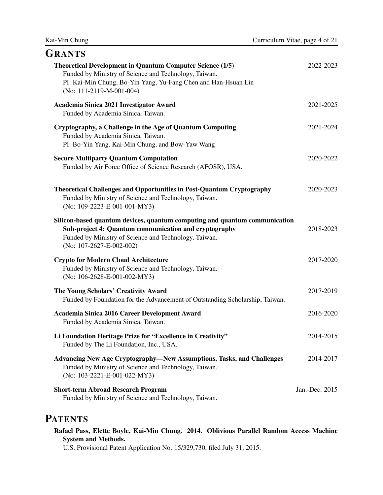| Curriculum Vitae, page 4 of 21 |  |  |  |
|--------------------------------|--|--|--|
|--------------------------------|--|--|--|

| <b>GRANTS</b>                                                                                                                                                                                                            |                |
|--------------------------------------------------------------------------------------------------------------------------------------------------------------------------------------------------------------------------|----------------|
| <b>Theoretical Development in Quantum Computer Science (1/5)</b><br>Funded by Ministry of Science and Technology, Taiwan.<br>PI: Kai-Min Chung, Bo-Yin Yang, Yu-Fang Chen and Han-Hsuan Lin<br>(No: 111-2119-M-001-004)  | 2022-2023      |
| Academia Sinica 2021 Investigator Award<br>Funded by Academia Sinica, Taiwan.                                                                                                                                            | 2021-2025      |
| Cryptography, a Challenge in the Age of Quantum Computing<br>Funded by Academia Sinica, Taiwan.<br>PI: Bo-Yin Yang, Kai-Min Chung, and Bow-Yaw Wang                                                                      | 2021-2024      |
| <b>Secure Multiparty Quantum Computation</b><br>Funded by Air Force Office of Science Research (AFOSR), USA.                                                                                                             | 2020-2022      |
| <b>Theoretical Challenges and Opportunities in Post-Quantum Cryptography</b><br>Funded by Ministry of Science and Technology, Taiwan.<br>(No: 109-2223-E-001-001-MY3)                                                    | 2020-2023      |
| Silicon-based quantum devices, quantum computing and quantum communication<br>Sub-project 4: Quantum communication and cryptography<br>Funded by Ministry of Science and Technology, Taiwan.<br>(No: 107-2627-E-002-002) | 2018-2023      |
| <b>Crypto for Modern Cloud Architecture</b><br>Funded by Ministry of Science and Technology, Taiwan.<br>(No: 106-2628-E-001-002-MY3)                                                                                     | 2017-2020      |
| The Young Scholars' Creativity Award<br>Funded by Foundation for the Advancement of Outstanding Scholarship, Taiwan.                                                                                                     | 2017-2019      |
| Academia Sinica 2016 Career Development Award<br>Funded by Academia Sinica, Taiwan.                                                                                                                                      | 2016-2020      |
| Li Foundation Heritage Prize for "Excellence in Creativity"<br>Funded by The Li Foundation, Inc., USA.                                                                                                                   | 2014-2015      |
| <b>Advancing New Age Cryptography-New Assumptions, Tasks, and Challenges</b><br>Funded by Ministry of Science and Technology, Taiwan.<br>(No: 103-2221-E-001-022-MY3)                                                    | 2014-2017      |
| <b>Short-term Abroad Research Program</b><br>Funded by Ministry of Science and Technology, Taiwan.                                                                                                                       | Jan.-Dec. 2015 |

# **PATENTS**

Kai-Min Chung

Rafael Pass, Elette Boyle, Kai-Min Chung. 2014. Oblivious Parallel Random Access Machine System and Methods.

U.S. Provisional Patent Application No. 15/329,730, filed July 31, 2015.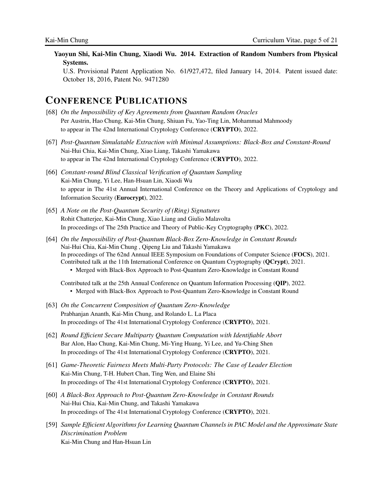Yaoyun Shi, Kai-Min Chung, Xiaodi Wu. 2014. Extraction of Random Numbers from Physical Systems.

U.S. Provisional Patent Application No. 61/927,472, filed January 14, 2014. Patent issued date: October 18, 2016, Patent No. 9471280

## CONFERENCE PUBLICATIONS

- [68] *On the Impossibility of Key Agreements from Quantum Random Oracles* Per Austrin, Hao Chung, Kai-Min Chung, Shiuan Fu, Yao-Ting Lin, Mohammad Mahmoody to appear in The 42nd International Cryptology Conference (CRYPTO), 2022.
- [67] *Post-Quantum Simulatable Extraction with Minimal Assumptions: Black-Box and Constant-Round* Nai-Hui Chia, Kai-Min Chung, Xiao Liang, Takashi Yamakawa to appear in The 42nd International Cryptology Conference (CRYPTO), 2022.
- [66] *Constant-round Blind Classical Verification of Quantum Sampling* Kai-Min Chung, Yi Lee, Han-Hsuan Lin, Xiaodi Wu to appear in The 41st Annual International Conference on the Theory and Applications of Cryptology and Information Security (Eurocrypt), 2022.
- [65] *A Note on the Post-Quantum Security of (Ring) Signatures* Rohit Chatterjee, Kai-Min Chung, Xiao Liang and Giulio Malavolta In proceedings of The 25th Practice and Theory of Public-Key Cryptography (PKC), 2022.
- [64] *On the Impossibility of Post-Quantum Black-Box Zero-Knowledge in Constant Rounds* Nai-Hui Chia, Kai-Min Chung , Qipeng Liu and Takashi Yamakawa In proceedings of The 62nd Annual IEEE Symposium on Foundations of Computer Science (FOCS), 2021. Contributed talk at the 11th International Conference on Quantum Cryptography (QCrypt), 2021. • Merged with Black-Box Approach to Post-Quantum Zero-Knowledge in Constant Round

Contributed talk at the 25th Annual Conference on Quantum Information Processing (QIP), 2022. • Merged with Black-Box Approach to Post-Quantum Zero-Knowledge in Constant Round

- [63] *On the Concurrent Composition of Quantum Zero-Knowledge* Prabhanjan Ananth, Kai-Min Chung, and Rolando L. La Placa In proceedings of The 41st International Cryptology Conference (CRYPTO), 2021.
- [62] *Round Efficient Secure Multiparty Quantum Computation with Identifiable Abort* Bar Alon, Hao Chung, Kai-Min Chung, Mi-Ying Huang, Yi Lee, and Yu-Ching Shen In proceedings of The 41st International Cryptology Conference (CRYPTO), 2021.
- [61] *Game-Theoretic Fairness Meets Multi-Party Protocols: The Case of Leader Election* Kai-Min Chung, T-H. Hubert Chan, Ting Wen, and Elaine Shi In proceedings of The 41st International Cryptology Conference (CRYPTO), 2021.
- [60] *A Black-Box Approach to Post-Quantum Zero-Knowledge in Constant Rounds* Nai-Hui Chia, Kai-Min Chung, and Takashi Yamakawa In proceedings of The 41st International Cryptology Conference (CRYPTO), 2021.
- [59] *Sample Efficient Algorithms for Learning Quantum Channels in PAC Model and the Approximate State Discrimination Problem* Kai-Min Chung and Han-Hsuan Lin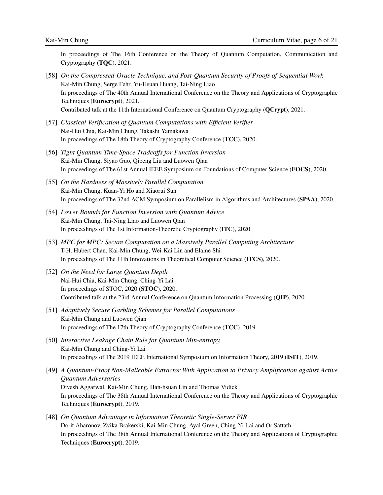In proceedings of The 16th Conference on the Theory of Quantum Computation, Communication and Cryptography (TQC), 2021.

- [58] *On the Compressed-Oracle Technique, and Post-Quantum Security of Proofs of Sequential Work* Kai-Min Chung, Serge Fehr, Yu-Hsuan Huang, Tai-Ning Liao In proceedings of The 40th Annual International Conference on the Theory and Applications of Cryptographic Techniques (Eurocrypt), 2021. Contributed talk at the 11th International Conference on Quantum Cryptography (QCrypt), 2021.
- [57] *Classical Verification of Quantum Computations with Efficient Verifier* Nai-Hui Chia, Kai-Min Chung, Takashi Yamakawa In proceedings of The 18th Theory of Cryptography Conference (TCC), 2020.
- [56] *Tight Quantum Time-Space Tradeoffs for Function Inversion* Kai-Min Chung, Siyao Guo, Qipeng Liu and Luowen Qian In proceedings of The 61st Annual IEEE Symposium on Foundations of Computer Science (FOCS), 2020.
- [55] *On the Hardness of Massively Parallel Computation* Kai-Min Chung, Kuan-Yi Ho and Xiaorui Sun In proceedings of The 32nd ACM Symposium on Parallelism in Algorithms and Architectures (SPAA), 2020.
- [54] *Lower Bounds for Function Inversion with Quantum Advice* Kai-Min Chung, Tai-Ning Liao and Luowen Qian In proceedings of The 1st Information-Theoretic Cryptography (ITC), 2020.
- [53] *MPC for MPC: Secure Computation on a Massively Parallel Computing Architecture* T-H. Hubert Chan, Kai-Min Chung, Wei-Kai Lin and Elaine Shi In proceedings of The 11th Innovations in Theoretical Computer Science (ITCS), 2020.
- [52] *On the Need for Large Quantum Depth* Nai-Hui Chia, Kai-Min Chung, Ching-Yi Lai In proceedings of STOC, 2020 (STOC), 2020. Contributed talk at the 23rd Annual Conference on Quantum Information Processing (QIP), 2020.
- [51] *Adaptively Secure Garbling Schemes for Parallel Computations* Kai-Min Chung and Luowen Qian In proceedings of The 17th Theory of Cryptography Conference (TCC), 2019.
- [50] *Interactive Leakage Chain Rule for Quantum Min-entropy,* Kai-Min Chung and Ching-Yi Lai In proceedings of The 2019 IEEE International Symposium on Information Theory, 2019 (ISIT), 2019.
- [49] *A Quantum-Proof Non-Malleable Extractor With Application to Privacy Amplification against Active Quantum Adversaries* Divesh Aggarwal, Kai-Min Chung, Han-hsuan Lin and Thomas Vidick In proceedings of The 38th Annual International Conference on the Theory and Applications of Cryptographic Techniques (Eurocrypt), 2019.
- [48] *On Quantum Advantage in Information Theoretic Single-Server PIR* Dorit Aharonov, Zvika Brakerski, Kai-Min Chung, Ayal Green, Ching-Yi Lai and Or Sattath In proceedings of The 38th Annual International Conference on the Theory and Applications of Cryptographic Techniques (Eurocrypt), 2019.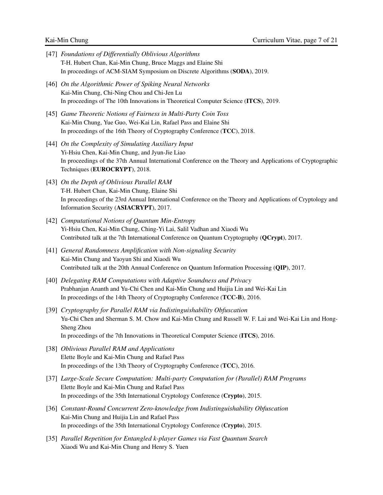[47] *Foundations of Differentially Oblivious Algorithms* T-H. Hubert Chan, Kai-Min Chung, Bruce Maggs and Elaine Shi In proceedings of ACM-SIAM Symposium on Discrete Algorithms (SODA), 2019. [46] *On the Algorithmic Power of Spiking Neural Networks* Kai-Min Chung, Chi-Ning Chou and Chi-Jen Lu In proceedings of The 10th Innovations in Theoretical Computer Science (ITCS), 2019. [45] *Game Theoretic Notions of Fairness in Multi-Party Coin Toss* Kai-Min Chung, Yue Guo, Wei-Kai Lin, Rafael Pass and Elaine Shi In proceedings of the 16th Theory of Cryptography Conference (TCC), 2018. [44] *On the Complexity of Simulating Auxiliary Input* Yi-Hsiu Chen, Kai-Min Chung, and Jyun-Jie Liao In proceedings of the 37th Annual International Conference on the Theory and Applications of Cryptographic Techniques (EUROCRYPT), 2018. [43] *On the Depth of Oblivious Parallel RAM* T-H. Hubert Chan, Kai-Min Chung, Elaine Shi In proceedings of the 23rd Annual International Conference on the Theory and Applications of Cryptology and Information Security (ASIACRYPT), 2017. [42] *Computational Notions of Quantum Min-Entropy* Yi-Hsiu Chen, Kai-Min Chung, Ching-Yi Lai, Salil Vadhan and Xiaodi Wu Contributed talk at the 7th International Conference on Quantum Cryptography (QCrypt), 2017. [41] *General Randomness Amplification with Non-signaling Security* Kai-Min Chung and Yaoyun Shi and Xiaodi Wu Contributed talk at the 20th Annual Conference on Quantum Information Processing (QIP), 2017. [40] *Delegating RAM Computations with Adaptive Soundness and Privacy* Prabhanjan Ananth and Yu-Chi Chen and Kai-Min Chung and Huijia Lin and Wei-Kai Lin In proceedings of the 14th Theory of Cryptography Conference (TCC-B), 2016. [39] *Cryptography for Parallel RAM via Indistinguishability Obfuscation* Yu-Chi Chen and Sherman S. M. Chow and Kai-Min Chung and Russell W. F. Lai and Wei-Kai Lin and Hong-Sheng Zhou In proceedings of the 7th Innovations in Theoretical Computer Science (ITCS), 2016. [38] *Oblivious Parallel RAM and Applications* Elette Boyle and Kai-Min Chung and Rafael Pass In proceedings of the 13th Theory of Cryptography Conference (TCC), 2016. [37] *Large-Scale Secure Computation: Multi-party Computation for (Parallel) RAM Programs* Elette Boyle and Kai-Min Chung and Rafael Pass In proceedings of the 35th International Cryptology Conference (Crypto), 2015. [36] *Constant-Round Concurrent Zero-knowledge from Indistinguishability Obfuscation* Kai-Min Chung and Huijia Lin and Rafael Pass In proceedings of the 35th International Cryptology Conference (Crypto), 2015. [35] *Parallel Repetition for Entangled k-player Games via Fast Quantum Search* Xiaodi Wu and Kai-Min Chung and Henry S. Yuen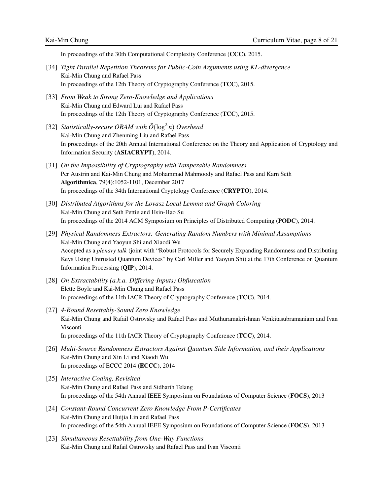In proceedings of the 30th Computational Complexity Conference (CCC), 2015.

- [34] *Tight Parallel Repetition Theorems for Public-Coin Arguments using KL-divergence* Kai-Min Chung and Rafael Pass In proceedings of the 12th Theory of Cryptography Conference (TCC), 2015.
- [33] *From Weak to Strong Zero-Knowledge and Applications* Kai-Min Chung and Edward Lui and Rafael Pass In proceedings of the 12th Theory of Cryptography Conference (TCC), 2015.
- [32] *Statistically-secure ORAM with*  $\tilde{O}(\log^2 n)$  *Overhead* Kai-Min Chung and Zhenming Liu and Rafael Pass In proceedings of the 20th Annual International Conference on the Theory and Application of Cryptology and Information Security (ASIACRYPT), 2014.
- [31] *On the Impossibility of Cryptography with Tamperable Randomness* Per Austrin and Kai-Min Chung and Mohammad Mahmoody and Rafael Pass and Karn Seth Algorithmica, 79(4):1052-1101, December 2017 In proceedings of the 34th International Cryptology Conference (CRYPTO), 2014.
- [30] *Distributed Algorithms for the Lovasz Local Lemma and Graph Coloring* Kai-Min Chung and Seth Pettie and Hsin-Hao Su In proceedings of the 2014 ACM Symposium on Principles of Distributed Computing (PODC), 2014.
- [29] *Physical Randomness Extractors: Generating Random Numbers with Minimal Assumptions* Kai-Min Chung and Yaoyun Shi and Xiaodi Wu Accepted as a *plenary talk* (joint with "Robust Protocols for Securely Expanding Randomness and Distributing Keys Using Untrusted Quantum Devices" by Carl Miller and Yaoyun Shi) at the 17th Conference on Quantum Information Processing (QIP), 2014.
- [28] *On Extractability (a.k.a. Differing-Inputs) Obfuscation* Elette Boyle and Kai-Min Chung and Rafael Pass In proceedings of the 11th IACR Theory of Cryptography Conference (TCC), 2014.
- [27] *4-Round Resettably-Sound Zero Knowledge* Kai-Min Chung and Rafail Ostrovsky and Rafael Pass and Muthuramakrishnan Venkitasubramaniam and Ivan Visconti In proceedings of the 11th IACR Theory of Cryptography Conference (TCC), 2014.
- [26] *Multi-Source Randomness Extractors Against Quantum Side Information, and their Applications* Kai-Min Chung and Xin Li and Xiaodi Wu In proceedings of ECCC 2014 (ECCC), 2014
- [25] *Interactive Coding, Revisited* Kai-Min Chung and Rafael Pass and Sidharth Telang In proceedings of the 54th Annual IEEE Symposium on Foundations of Computer Science (FOCS), 2013
- [24] *Constant-Round Concurrent Zero Knowledge From P-Certificates* Kai-Min Chung and Huijia Lin and Rafael Pass In proceedings of the 54th Annual IEEE Symposium on Foundations of Computer Science (FOCS), 2013
- [23] *Simultaneous Resettability from One-Way Functions* Kai-Min Chung and Rafail Ostrovsky and Rafael Pass and Ivan Visconti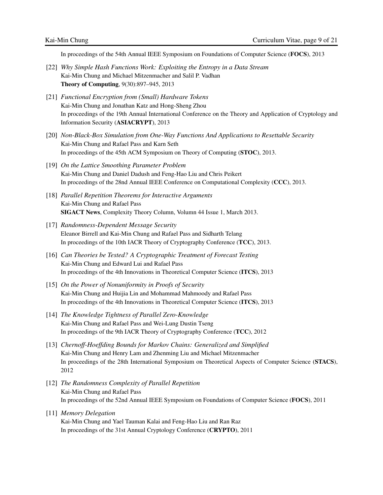In proceedings of the 54th Annual IEEE Symposium on Foundations of Computer Science (FOCS), 2013

- [22] *Why Simple Hash Functions Work: Exploiting the Entropy in a Data Stream* Kai-Min Chung and Michael Mitzenmacher and Salil P. Vadhan Theory of Computing, 9(30):897–945, 2013
- [21] *Functional Encryption from (Small) Hardware Tokens* Kai-Min Chung and Jonathan Katz and Hong-Sheng Zhou In proceedings of the 19th Annual International Conference on the Theory and Application of Cryptology and Information Security (ASIACRYPT), 2013
- [20] *Non-Black-Box Simulation from One-Way Functions And Applications to Resettable Security* Kai-Min Chung and Rafael Pass and Karn Seth In proceedings of the 45th ACM Symposium on Theory of Computing (STOC), 2013.
- [19] *On the Lattice Smoothing Parameter Problem* Kai-Min Chung and Daniel Dadush and Feng-Hao Liu and Chris Peikert In proceedings of the 28nd Annual IEEE Conference on Computational Complexity (CCC), 2013.
- [18] *Parallel Repetition Theorems for Interactive Arguments* Kai-Min Chung and Rafael Pass SIGACT News, Complexity Theory Column, Volumn 44 Issue 1, March 2013.
- [17] *Randomness-Dependent Message Security* Eleanor Birrell and Kai-Min Chung and Rafael Pass and Sidharth Telang In proceedings of the 10th IACR Theory of Cryptography Conference (TCC), 2013.
- [16] *Can Theories be Tested? A Cryptographic Treatment of Forecast Testing* Kai-Min Chung and Edward Lui and Rafael Pass In proceedings of the 4th Innovations in Theoretical Computer Science (ITCS), 2013
- [15] *On the Power of Nonuniformity in Proofs of Security* Kai-Min Chung and Huijia Lin and Mohammad Mahmoody and Rafael Pass In proceedings of the 4th Innovations in Theoretical Computer Science (ITCS), 2013
- [14] *The Knowledge Tightness of Parallel Zero-Knowledge* Kai-Min Chung and Rafael Pass and Wei-Lung Dustin Tseng In proceedings of the 9th IACR Theory of Cryptography Conference (TCC), 2012
- [13] *Chernoff-Hoeffding Bounds for Markov Chains: Generalized and Simplified* Kai-Min Chung and Henry Lam and Zhenming Liu and Michael Mitzenmacher In proceedings of the 28th International Symposium on Theoretical Aspects of Computer Science (STACS), 2012
- [12] *The Randomness Complexity of Parallel Repetition* Kai-Min Chung and Rafael Pass In proceedings of the 52nd Annual IEEE Symposium on Foundations of Computer Science (FOCS), 2011
- [11] *Memory Delegation* Kai-Min Chung and Yael Tauman Kalai and Feng-Hao Liu and Ran Raz In proceedings of the 31st Annual Cryptology Conference (CRYPTO), 2011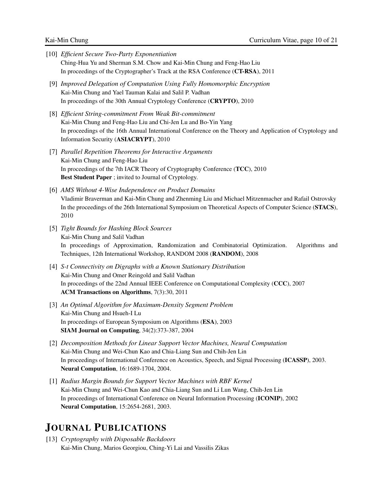- [10] *Efficient Secure Two-Party Exponentiation* Ching-Hua Yu and Sherman S.M. Chow and Kai-Min Chung and Feng-Hao Liu In proceedings of the Cryptographer's Track at the RSA Conference (CT-RSA), 2011
- [9] *Improved Delegation of Computation Using Fully Homomorphic Encryption* Kai-Min Chung and Yael Tauman Kalai and Salil P. Vadhan In proceedings of the 30th Annual Cryptology Conference (CRYPTO), 2010
- [8] *Efficient String-commitment From Weak Bit-commitment* Kai-Min Chung and Feng-Hao Liu and Chi-Jen Lu and Bo-Yin Yang In proceedings of the 16th Annual International Conference on the Theory and Application of Cryptology and Information Security (ASIACRYPT), 2010
- [7] *Parallel Repetition Theorems for Interactive Arguments* Kai-Min Chung and Feng-Hao Liu In proceedings of the 7th IACR Theory of Cryptography Conference (TCC), 2010 Best Student Paper ; invited to Journal of Cryptology.
- [6] *AMS Without 4-Wise Independence on Product Domains* Vladimir Braverman and Kai-Min Chung and Zhenming Liu and Michael Mitzenmacher and Rafail Ostrovsky In the proceedings of the 26th International Symposium on Theoretical Aspects of Computer Science (STACS), 2010
- [5] *Tight Bounds for Hashing Block Sources* Kai-Min Chung and Salil Vadhan In proceedings of Approximation, Randomization and Combinatorial Optimization. Algorithms and Techniques, 12th International Workshop, RANDOM 2008 (RANDOM), 2008
- [4] *S-t Connectivity on Digraphs with a Known Stationary Distribution* Kai-Min Chung and Omer Reingold and Salil Vadhan In proceedings of the 22nd Annual IEEE Conference on Computational Complexity (CCC), 2007 ACM Transactions on Algorithms, 7(3):30, 2011
- [3] *An Optimal Algorithm for Maximum-Density Segment Problem* Kai-Min Chung and Hsueh-I Lu In proceedings of European Symposium on Algorithms (ESA), 2003 SIAM Journal on Computing, 34(2):373-387, 2004
- [2] *Decomposition Methods for Linear Support Vector Machines, Neural Computation* Kai-Min Chung and Wei-Chun Kao and Chia-Liang Sun and Chih-Jen Lin In proceedings of International Conference on Acoustics, Speech, and Signal Processing (ICASSP), 2003. Neural Computation, 16:1689-1704, 2004.
- [1] *Radius Margin Bounds for Support Vector Machines with RBF Kernel* Kai-Min Chung and Wei-Chun Kao and Chia-Liang Sun and Li Lun Wang, Chih-Jen Lin In proceedings of International Conference on Neural Information Processing (ICONIP), 2002 Neural Computation, 15:2654-2681, 2003.

## JOURNAL PUBLICATIONS

[13] *Cryptography with Disposable Backdoors* Kai-Min Chung, Marios Georgiou, Ching-Yi Lai and Vassilis Zikas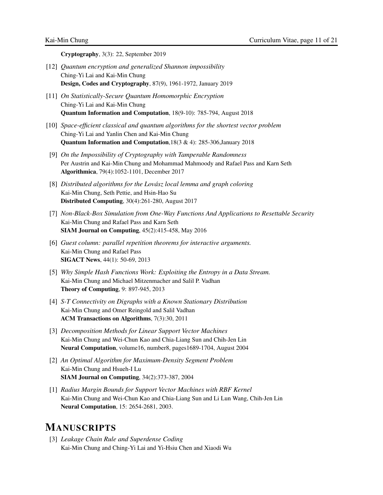Cryptography, 3(3): 22, September 2019

- [12] *Quantum encryption and generalized Shannon impossibility* Ching-Yi Lai and Kai-Min Chung Design, Codes and Cryptography, 87(9), 1961-1972, January 2019
- [11] *On Statistically-Secure Quantum Homomorphic Encryption* Ching-Yi Lai and Kai-Min Chung Quantum Information and Computation, 18(9-10): 785-794, August 2018
- [10] *Space-efficient classical and quantum algorithms for the shortest vector problem* Ching-Yi Lai and Yanlin Chen and Kai-Min Chung Quantum Information and Computation,18(3 & 4): 285-306,January 2018
- [9] *On the Impossibility of Cryptography with Tamperable Randomness* Per Austrin and Kai-Min Chung and Mohammad Mahmoody and Rafael Pass and Karn Seth Algorithmica, 79(4):1052-1101, December 2017
- [8] *Distributed algorithms for the Lovász local lemma and graph coloring* Kai-Min Chung, Seth Pettie, and Hsin-Hao Su Distributed Computing, 30(4):261-280, August 2017
- [7] *Non-Black-Box Simulation from One-Way Functions And Applications to Resettable Security* Kai-Min Chung and Rafael Pass and Karn Seth SIAM Journal on Computing, 45(2):415-458, May 2016
- [6] *Guest column: parallel repetition theorems for interactive arguments.* Kai-Min Chung and Rafael Pass SIGACT News, 44(1): 50-69, 2013
- [5] *Why Simple Hash Functions Work: Exploiting the Entropy in a Data Stream.* Kai-Min Chung and Michael Mitzenmacher and Salil P. Vadhan Theory of Computing, 9: 897-945, 2013
- [4] *S-T Connectivity on Digraphs with a Known Stationary Distribution* Kai-Min Chung and Omer Reingold and Salil Vadhan ACM Transactions on Algorithms, 7(3):30, 2011
- [3] *Decomposition Methods for Linear Support Vector Machines* Kai-Min Chung and Wei-Chun Kao and Chia-Liang Sun and Chih-Jen Lin Neural Computation, volume16, number8, pages1689-1704, August 2004
- [2] *An Optimal Algorithm for Maximum-Density Segment Problem* Kai-Min Chung and Hsueh-I Lu SIAM Journal on Computing, 34(2):373-387, 2004
- [1] *Radius Margin Bounds for Support Vector Machines with RBF Kernel* Kai-Min Chung and Wei-Chun Kao and Chia-Liang Sun and Li Lun Wang, Chih-Jen Lin Neural Computation, 15: 2654-2681, 2003.

## MANUSCRIPTS

[3] *Leakage Chain Rule and Superdense Coding* Kai-Min Chung and Ching-Yi Lai and Yi-Hsiu Chen and Xiaodi Wu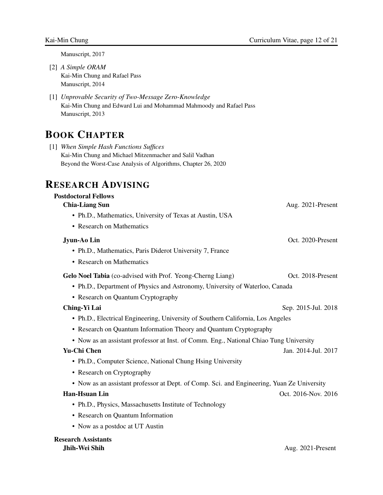Manuscript, 2017

- [2] *A Simple ORAM* Kai-Min Chung and Rafael Pass Manuscript, 2014
- [1] *Unprovable Security of Two-Message Zero-Knowledge* Kai-Min Chung and Edward Lui and Mohammad Mahmoody and Rafael Pass Manuscript, 2013

# BOOK CHAPTER

[1] *When Simple Hash Functions Suffices* Kai-Min Chung and Michael Mitzenmacher and Salil Vadhan Beyond the Worst-Case Analysis of Algorithms, Chapter 26, 2020

## RESEARCH ADVISING

### Postdoctoral Fellows

| <b>Chia-Liang Sun</b>                                                                      | Aug. 2021-Present   |
|--------------------------------------------------------------------------------------------|---------------------|
| • Ph.D., Mathematics, University of Texas at Austin, USA                                   |                     |
| • Research on Mathematics                                                                  |                     |
| Jyun-Ao Lin                                                                                | Oct. 2020-Present   |
| • Ph.D., Mathematics, Paris Diderot University 7, France                                   |                     |
| • Research on Mathematics                                                                  |                     |
| Gelo Noel Tabia (co-advised with Prof. Yeong-Cherng Liang)                                 | Oct. 2018-Present   |
| • Ph.D., Department of Physics and Astronomy, University of Waterloo, Canada               |                     |
| • Research on Quantum Cryptography                                                         |                     |
| Ching-Yi Lai                                                                               | Sep. 2015-Jul. 2018 |
| • Ph.D., Electrical Engineering, University of Southern California, Los Angeles            |                     |
| • Research on Quantum Information Theory and Quantum Cryptography                          |                     |
| • Now as an assistant professor at Inst. of Comm. Eng., National Chiao Tung University     |                     |
| Yu-Chi Chen                                                                                | Jan. 2014-Jul. 2017 |
| • Ph.D., Computer Science, National Chung Hsing University                                 |                     |
| • Research on Cryptography                                                                 |                     |
| • Now as an assistant professor at Dept. of Comp. Sci. and Engineering, Yuan Ze University |                     |
| <b>Han-Hsuan Lin</b>                                                                       | Oct. 2016-Nov. 2016 |
| • Ph.D., Physics, Massachusetts Institute of Technology                                    |                     |
| • Research on Quantum Information                                                          |                     |
| • Now as a postdoc at UT Austin                                                            |                     |
| esearch Assistants                                                                         |                     |

Research Assistants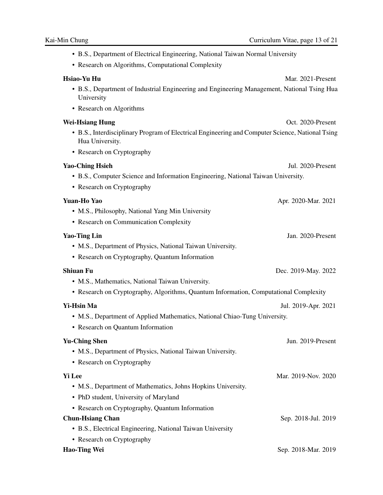- B.S., Department of Electrical Engineering, National Taiwan Normal University
- Research on Algorithms, Computational Complexity

Hsiao-Yu Hu Mar. 2021-Present

- B.S., Department of Industrial Engineering and Engineering Management, National Tsing Hua University
- Research on Algorithms

#### Wei-Hsiang Hung **Music Accord Contract Contract Contract Contract Contract Contract Contract Contract Contract Contract Contract Contract Contract Contract Contract Contract Contract Contract Contract Contract Contract Con**

- B.S., Interdisciplinary Program of Electrical Engineering and Computer Science, National Tsing Hua University.
- Research on Cryptography

#### Yao-Ching Hsieh Jul. 2020-Present

- B.S., Computer Science and Information Engineering, National Taiwan University.
- Research on Cryptography

#### **Yuan-Ho Yao** Apr. 2020-Mar. 2021

- M.S., Philosophy, National Yang Min University
- Research on Communication Complexity

#### **Yao-Ting Lin** Jan. 2020-Present

- M.S., Department of Physics, National Taiwan University.
- Research on Cryptography, Quantum Information

## Shiuan Fu Dec. 2019-May. 2022

- M.S., Mathematics, National Taiwan University.
- Research on Cryptography, Algorithms, Quantum Information, Computational Complexity

### Yi-Hsin Ma Jul. 2019-Apr. 2021

- M.S., Department of Applied Mathematics, National Chiao-Tung University.
- Research on Quantum Information

## **Yu-Ching Shen** Jun. 2019-Present • M.S., Department of Physics, National Taiwan University. • Research on Cryptography **Yi Lee** Mar. 2019-Nov. 2020 • M.S., Department of Mathematics, Johns Hopkins University. • PhD student, University of Maryland • Research on Cryptography, Quantum Information Chun-Hsiang Chan Sep. 2018-Jul. 2019 • B.S., Electrical Engineering, National Taiwan University • Research on Cryptography Hao-Ting Wei Sep. 2018-Mar. 2019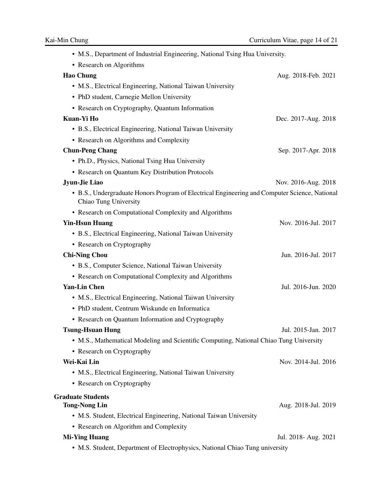| • M.S., Department of Industrial Engineering, National Tsing Hua University. |  |  |  |
|------------------------------------------------------------------------------|--|--|--|
|                                                                              |  |  |  |

| • Research on Algorithms                                                                                               |                      |
|------------------------------------------------------------------------------------------------------------------------|----------------------|
| <b>Hao Chung</b>                                                                                                       | Aug. 2018-Feb. 2021  |
| • M.S., Electrical Engineering, National Taiwan University                                                             |                      |
| • PhD student, Carnegie Mellon University                                                                              |                      |
| • Research on Cryptography, Quantum Information                                                                        |                      |
| Kuan-Yi Ho                                                                                                             | Dec. 2017-Aug. 2018  |
| • B.S., Electrical Engineering, National Taiwan University                                                             |                      |
| • Research on Algorithms and Complexity                                                                                |                      |
| <b>Chun-Peng Chang</b>                                                                                                 | Sep. 2017-Apr. 2018  |
| • Ph.D., Physics, National Tsing Hua University                                                                        |                      |
| • Research on Quantum Key Distribution Protocols                                                                       |                      |
| Jyun-Jie Liao                                                                                                          | Nov. 2016-Aug. 2018  |
| • B.S., Undergraduate Honors Program of Electrical Engineering and Computer Science, National<br>Chiao Tung University |                      |
| • Research on Computational Complexity and Algorithms                                                                  |                      |
| <b>Yin-Hsun Huang</b>                                                                                                  | Nov. 2016-Jul. 2017  |
| • B.S., Electrical Engineering, National Taiwan University                                                             |                      |
| • Research on Cryptography                                                                                             |                      |
| <b>Chi-Ning Chou</b>                                                                                                   | Jun. 2016-Jul. 2017  |
| • B.S., Computer Science, National Taiwan University                                                                   |                      |
| • Research on Computational Complexity and Algorithms                                                                  |                      |
| <b>Yan-Lin Chen</b>                                                                                                    | Jul. 2016-Jun. 2020  |
| • M.S., Electrical Engineering, National Taiwan University                                                             |                      |
| • PhD student, Centrum Wiskunde en Informatica                                                                         |                      |
| • Research on Quantum Information and Cryptography                                                                     |                      |
| <b>Tsung-Hsuan Hung</b>                                                                                                | Jul. 2015-Jan. 2017  |
| • M.S., Mathematical Modeling and Scientific Computing, National Chiao Tung University                                 |                      |
| • Research on Cryptography                                                                                             |                      |
| Wei-Kai Lin                                                                                                            | Nov. 2014-Jul. 2016  |
| • M.S., Electrical Engineering, National Taiwan University                                                             |                      |
| • Research on Cryptography                                                                                             |                      |
| <b>Graduate Students</b>                                                                                               |                      |
| <b>Tong-Nong Lin</b>                                                                                                   | Aug. 2018-Jul. 2019  |
| • M.S. Student, Electrical Engineering, National Taiwan University                                                     |                      |
| • Research on Algorithm and Complexity                                                                                 |                      |
| <b>Mi-Ying Huang</b>                                                                                                   | Jul. 2018- Aug. 2021 |
| • M.S. Student, Department of Electrophysics, National Chiao Tung university                                           |                      |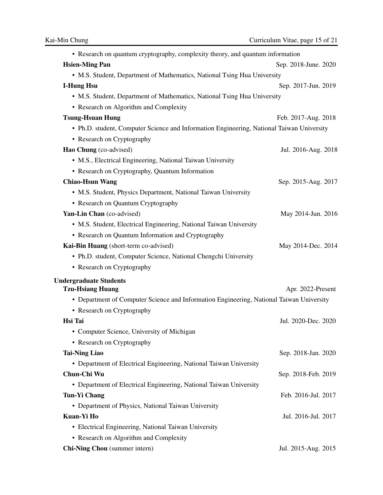| • Research on quantum cryptography, complexity theory, and quantum information            |                      |
|-------------------------------------------------------------------------------------------|----------------------|
| <b>Hsien-Ming Pan</b>                                                                     | Sep. 2018-June. 2020 |
| • M.S. Student, Department of Mathematics, National Tsing Hua University                  |                      |
| <b>I-Hung Hsu</b>                                                                         | Sep. 2017-Jun. 2019  |
| • M.S. Student, Department of Mathematics, National Tsing Hua University                  |                      |
| • Research on Algorithm and Complexity                                                    |                      |
| <b>Tsung-Hsuan Hung</b>                                                                   | Feb. 2017-Aug. 2018  |
| • Ph.D. student, Computer Science and Information Engineering, National Taiwan University |                      |
| • Research on Cryptography                                                                |                      |
| Hao Chung (co-advised)                                                                    | Jul. 2016-Aug. 2018  |
| • M.S., Electrical Engineering, National Taiwan University                                |                      |
| • Research on Cryptography, Quantum Information                                           |                      |
| <b>Chiao-Hsun Wang</b>                                                                    | Sep. 2015-Aug. 2017  |
| • M.S. Student, Physics Department, National Taiwan University                            |                      |
| • Research on Quantum Cryptography                                                        |                      |
| Yan-Lin Chan (co-advised)                                                                 | May 2014-Jun. 2016   |
| • M.S. Student, Electrical Engineering, National Taiwan University                        |                      |
| • Research on Quantum Information and Cryptography                                        |                      |
| Kai-Bin Huang (short-term co-advised)                                                     | May 2014-Dec. 2014   |
| • Ph.D. student, Computer Science, National Chengchi University                           |                      |
| • Research on Cryptography                                                                |                      |
| <b>Undergraduate Students</b>                                                             |                      |
| <b>Tzu-Hsiang Huang</b>                                                                   | Apr. 2022-Present    |
| • Department of Computer Science and Information Engineering, National Taiwan University  |                      |
| • Research on Cryptography                                                                |                      |
| Hsi Tai                                                                                   | Jul. 2020-Dec. 2020  |
| • Computer Science, University of Michigan                                                |                      |
| • Research on Cryptography                                                                |                      |
| <b>Tai-Ning Liao</b>                                                                      | Sep. 2018-Jan. 2020  |
| • Department of Electrical Engineering, National Taiwan University                        |                      |
| Chun-Chi Wu                                                                               | Sep. 2018-Feb. 2019  |
| • Department of Electrical Engineering, National Taiwan University                        |                      |
| <b>Tun-Yi Chang</b>                                                                       | Feb. 2016-Jul. 2017  |
| • Department of Physics, National Taiwan University                                       |                      |
| Kuan-Yi Ho                                                                                | Jul. 2016-Jul. 2017  |
| • Electrical Engineering, National Taiwan University                                      |                      |
| • Research on Algorithm and Complexity                                                    |                      |
| Chi-Ning Chou (summer intern)                                                             | Jul. 2015-Aug. 2015  |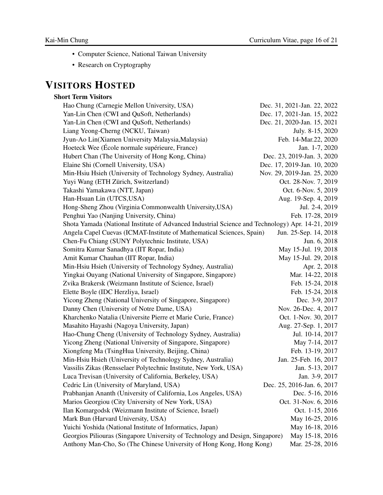- Computer Science, National Taiwan University
- Research on Cryptography

# VISITORS HOSTED

## Short Term Visitors

| Hao Chung (Carnegie Mellon University, USA)                                                      | Dec. 31, 2021-Jan. 22, 2022 |
|--------------------------------------------------------------------------------------------------|-----------------------------|
| Yan-Lin Chen (CWI and QuSoft, Netherlands)                                                       | Dec. 17, 2021-Jan. 15, 2022 |
| Yan-Lin Chen (CWI and QuSoft, Netherlands)                                                       | Dec. 21, 2020-Jan. 15, 2021 |
| Liang Yeong-Cherng (NCKU, Taiwan)                                                                | July. 8-15, 2020            |
| Jyun-Ao Lin(Xiamen University Malaysia, Malaysia)                                                | Feb. 14-Mar.22, 2020        |
| Hoeteck Wee (École normale supérieure, France)                                                   | Jan. 1-7, 2020              |
| Hubert Chan (The University of Hong Kong, China)                                                 | Dec. 23, 2019-Jan. 3, 2020  |
| Elaine Shi (Cornell University, USA)                                                             | Dec. 17, 2019-Jan. 10, 2020 |
| Min-Hsiu Hsieh (University of Technology Sydney, Australia)                                      | Nov. 29, 2019-Jan. 25, 2020 |
| Yuyi Wang (ETH Zürich, Switzerland)                                                              | Oct. 28-Nov. 7, 2019        |
| Takashi Yamakawa (NTT, Japan)                                                                    | Oct. 6-Nov. 5, 2019         |
| Han-Hsuan Lin (UTCS, USA)                                                                        | Aug. 19-Sep. 4, 2019        |
| Hong-Sheng Zhou (Virginia Commonwealth University, USA)                                          | Jul. 2-4, 2019              |
| Penghui Yao (Nanjing University, China)                                                          | Feb. 17-28, 2019            |
| Shota Yamada (National Institute of Advanced Industrial Science and Technology) Apr. 14-21, 2019 |                             |
| Angela Capel Cuevas (ICMAT-Institute of Mathematical Sciences, Spain)                            | Jun. 25-Sep. 14, 2018       |
| Chen-Fu Chiang (SUNY Polytechnic Institute, USA)                                                 | Jun. 6, 2018                |
| Somitra Kumar Sanadhya (IIT Ropar, India)                                                        | May 15-Jul. 19, 2018        |
| Amit Kumar Chauhan (IIT Ropar, India)                                                            | May 15-Jul. 29, 2018        |
| Min-Hsiu Hsieh (University of Technology Sydney, Australia)                                      | Apr. 2, 2018                |
| Yingkai Ouyang (National University of Singapore, Singapore)                                     | Mar. 14-22, 2018            |
| Zvika Brakersk (Weizmann Institute of Science, Israel)                                           | Feb. 15-24, 2018            |
| Elette Boyle (IDC Herzliya, Israel)                                                              | Feb. 15-24, 2018            |
| Yicong Zheng (National University of Singapore, Singapore)                                       | Dec. 3-9, 2017              |
| Danny Chen (University of Notre Dame, USA)                                                       | Nov. 26-Dec. 4, 2017        |
| Kharchenko Natalia (Universite Pierre et Marie Curie, France)                                    | Oct. 1-Nov. 30, 2017        |
| Masahito Hayashi (Nagoya University, Japan)                                                      | Aug. 27-Sep. 1, 2017        |
| Hao-Chung Cheng (University of Technology Sydney, Australia)                                     | Jul. 10-14, 2017            |
| Yicong Zheng (National University of Singapore, Singapore)                                       | May 7-14, 2017              |
| Xiongfeng Ma (TsingHua University, Beijing, China)                                               | Feb. 13-19, 2017            |
| Min-Hsiu Hsieh (University of Technology Sydney, Australia)                                      | Jan. 25-Feb. 16, 2017       |
| Vassilis Zikas (Rensselaer Polytechnic Institute, New York, USA)                                 | Jan. 5-13, 2017             |
| Luca Trevisan (University of California, Berkeley, USA)                                          | Jan. 3-9, 2017              |
| Cedric Lin (University of Maryland, USA)                                                         | Dec. 25, 2016-Jan. 6, 2017  |
| Prabhanjan Ananth (University of California, Los Angeles, USA)                                   | Dec. 5-16, 2016             |
| Marios Georgiou (City University of New York, USA)                                               | Oct. 31-Nov. 6, 2016        |
| Ilan Komargodsk (Weizmann Institute of Science, Israel)                                          | Oct. 1-15, 2016             |
| Mark Bun (Harvard University, USA)                                                               | May 16-25, 2016             |
| Yuichi Yoshida (National Institute of Informatics, Japan)                                        | May 16-18, 2016             |
| Georgios Piliouras (Singapore University of Technology and Design, Singapore)                    | May 15-18, 2016             |
| Anthony Man-Cho, So (The Chinese University of Hong Kong, Hong Kong)                             | Mar. 25-28, 2016            |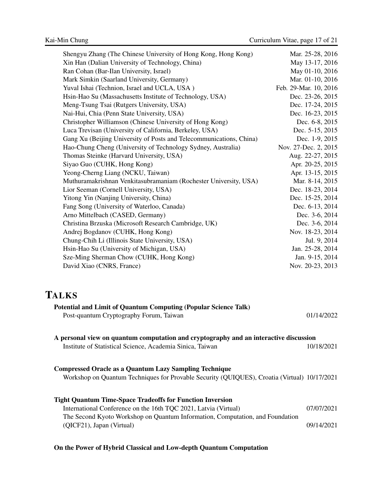| Shengyu Zhang (The Chinese University of Hong Kong, Hong Kong)      | Mar. 25-28, 2016      |
|---------------------------------------------------------------------|-----------------------|
| Xin Han (Dalian University of Technology, China)                    | May 13-17, 2016       |
| Ran Cohan (Bar-Ilan University, Israel)                             | May 01-10, 2016       |
| Mark Simkin (Saarland University, Germany)                          | Mar. 01-10, 2016      |
| Yuval Ishai (Technion, Israel and UCLA, USA)                        | Feb. 29-Mar. 10, 2016 |
| Hsin-Hao Su (Massachusetts Institute of Technology, USA)            | Dec. 23-26, 2015      |
| Meng-Tsung Tsai (Rutgers University, USA)                           | Dec. 17-24, 2015      |
| Nai-Hui, Chia (Penn State University, USA)                          | Dec. 16-23, 2015      |
| Christopher Williamson (Chinese University of Hong Kong)            | Dec. 6-8, 2015        |
| Luca Trevisan (University of California, Berkeley, USA)             | Dec. 5-15, 2015       |
| Gang Xu (Beijing University of Posts and Telecommunications, China) | Dec. 1-9, 2015        |
| Hao-Chung Cheng (University of Technology Sydney, Australia)        | Nov. 27-Dec. 2, 2015  |
| Thomas Steinke (Harvard University, USA)                            | Aug. 22-27, 2015      |
| Siyao Guo (CUHK, Hong Kong)                                         | Apr. 20-25, 2015      |
| Yeong-Cherng Liang (NCKU, Taiwan)                                   | Apr. 13-15, 2015      |
| Muthuramakrishnan Venkitasubramaniam (Rochester University, USA)    | Mar. 8-14, 2015       |
| Lior Seeman (Cornell University, USA)                               | Dec. 18-23, 2014      |
| Yitong Yin (Nanjing University, China)                              | Dec. 15-25, 2014      |
| Fang Song (University of Waterloo, Canada)                          | Dec. 6-13, 2014       |
| Arno Mittelbach (CASED, Germany)                                    | Dec. 3-6, 2014        |
| Christina Brzuska (Microsoft Research Cambridge, UK)                | Dec. 3-6, 2014        |
| Andrej Bogdanov (CUHK, Hong Kong)                                   | Nov. 18-23, 2014      |
| Chung-Chih Li (Illinois State University, USA)                      | Jul. 9, 2014          |
| Hsin-Hao Su (University of Michigan, USA)                           | Jan. 25-28, 2014      |
| Sze-Ming Sherman Chow (CUHK, Hong Kong)                             | Jan. 9-15, 2014       |
| David Xiao (CNRS, France)                                           | Nov. 20-23, 2013      |

# TALKS

| <b>Potential and Limit of Quantum Computing (Popular Science Talk)</b><br>Post-quantum Cryptography Forum, Taiwan                                                                                                    | 01/14/2022 |
|----------------------------------------------------------------------------------------------------------------------------------------------------------------------------------------------------------------------|------------|
| A personal view on quantum computation and cryptography and an interactive discussion<br>Institute of Statistical Science, Academia Sinica, Taiwan                                                                   | 10/18/2021 |
| <b>Compressed Oracle as a Quantum Lazy Sampling Technique</b><br>Workshop on Quantum Techniques for Provable Security (QUIQUES), Croatia (Virtual) 10/17/2021                                                        |            |
| <b>Tight Quantum Time-Space Tradeoffs for Function Inversion</b><br>International Conference on the 16th TQC 2021, Latvia (Virtual)<br>The Second Kyoto Workshop on Quantum Information, Computation, and Foundation | 07/07/2021 |
| (QICF21), Japan (Virtual)                                                                                                                                                                                            | 09/14/2021 |

## On the Power of Hybrid Classical and Low-depth Quantum Computation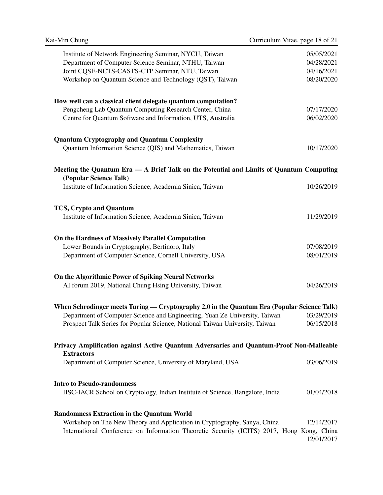| Institute of Network Engineering Seminar, NYCU, Taiwan<br>Department of Computer Science Seminar, NTHU, Taiwan<br>Joint CQSE-NCTS-CASTS-CTP Seminar, NTU, Taiwan<br>Workshop on Quantum Science and Technology (QST), Taiwan | 05/05/2021<br>04/28/2021<br>04/16/2021<br>08/20/2020 |  |  |
|------------------------------------------------------------------------------------------------------------------------------------------------------------------------------------------------------------------------------|------------------------------------------------------|--|--|
| How well can a classical client delegate quantum computation?<br>Pengcheng Lab Quantum Computing Research Center, China<br>Centre for Quantum Software and Information, UTS, Australia                                       | 07/17/2020<br>06/02/2020                             |  |  |
| <b>Quantum Cryptography and Quantum Complexity</b><br>Quantum Information Science (QIS) and Mathematics, Taiwan                                                                                                              | 10/17/2020                                           |  |  |
| Meeting the Quantum Era — A Brief Talk on the Potential and Limits of Quantum Computing                                                                                                                                      |                                                      |  |  |
| (Popular Science Talk)<br>Institute of Information Science, Academia Sinica, Taiwan                                                                                                                                          | 10/26/2019                                           |  |  |
| <b>TCS, Crypto and Quantum</b><br>Institute of Information Science, Academia Sinica, Taiwan                                                                                                                                  | 11/29/2019                                           |  |  |
| On the Hardness of Massively Parallel Computation                                                                                                                                                                            |                                                      |  |  |
| Lower Bounds in Cryptography, Bertinoro, Italy<br>Department of Computer Science, Cornell University, USA                                                                                                                    | 07/08/2019<br>08/01/2019                             |  |  |
| On the Algorithmic Power of Spiking Neural Networks<br>AI forum 2019, National Chung Hsing University, Taiwan                                                                                                                | 04/26/2019                                           |  |  |
| When Schrodinger meets Turing — Cryptography 2.0 in the Quantum Era (Popular Science Talk)                                                                                                                                   |                                                      |  |  |
| Department of Computer Science and Engineering, Yuan Ze University, Taiwan<br>Prospect Talk Series for Popular Science, National Taiwan University, Taiwan                                                                   | 03/29/2019<br>06/15/2018                             |  |  |
| Privacy Amplification against Active Quantum Adversaries and Quantum-Proof Non-Malleable                                                                                                                                     |                                                      |  |  |
| <b>Extractors</b><br>Department of Computer Science, University of Maryland, USA                                                                                                                                             | 03/06/2019                                           |  |  |
| <b>Intro to Pseudo-randomness</b><br>IISC-IACR School on Cryptology, Indian Institute of Science, Bangalore, India                                                                                                           | 01/04/2018                                           |  |  |
| <b>Randomness Extraction in the Quantum World</b><br>Workshop on The New Theory and Application in Cryptography, Sanya, China<br>International Conference on Information Theoretic Security (ICITS) 2017, Hong Kong, China   | 12/14/2017<br>12/01/2017                             |  |  |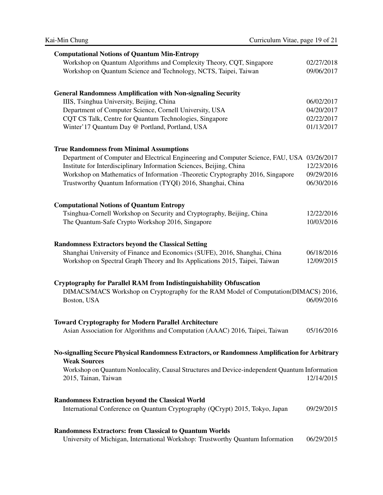| <b>Computational Notions of Quantum Min-Entropy</b>                                            |            |
|------------------------------------------------------------------------------------------------|------------|
| Workshop on Quantum Algorithms and Complexity Theory, CQT, Singapore                           | 02/27/2018 |
| Workshop on Quantum Science and Technology, NCTS, Taipei, Taiwan                               | 09/06/2017 |
|                                                                                                |            |
| <b>General Randomness Amplification with Non-signaling Security</b>                            |            |
| IIIS, Tsinghua University, Beijing, China                                                      | 06/02/2017 |
| Department of Computer Science, Cornell University, USA                                        | 04/20/2017 |
| CQT CS Talk, Centre for Quantum Technologies, Singapore                                        | 02/22/2017 |
| Winter' 17 Quantum Day @ Portland, Portland, USA                                               | 01/13/2017 |
|                                                                                                |            |
|                                                                                                |            |
| <b>True Randomness from Minimal Assumptions</b>                                                |            |
| Department of Computer and Electrical Engineering and Computer Science, FAU, USA 03/26/2017    |            |
| Institute for Interdisciplinary Information Sciences, Beijing, China                           | 12/23/2016 |
| Workshop on Mathematics of Information -Theoretic Cryptography 2016, Singapore                 | 09/29/2016 |
| Trustworthy Quantum Information (TYQI) 2016, Shanghai, China                                   | 06/30/2016 |
|                                                                                                |            |
| <b>Computational Notions of Quantum Entropy</b>                                                |            |
| Tsinghua-Cornell Workshop on Security and Cryptography, Beijing, China                         | 12/22/2016 |
| The Quantum-Safe Crypto Workshop 2016, Singapore                                               | 10/03/2016 |
|                                                                                                |            |
| <b>Randomness Extractors beyond the Classical Setting</b>                                      |            |
| Shanghai University of Finance and Economics (SUFE), 2016, Shanghai, China                     | 06/18/2016 |
| Workshop on Spectral Graph Theory and Its Applications 2015, Taipei, Taiwan                    | 12/09/2015 |
|                                                                                                |            |
|                                                                                                |            |
| <b>Cryptography for Parallel RAM from Indistinguishability Obfuscation</b>                     |            |
| DIMACS/MACS Workshop on Cryptography for the RAM Model of Computation(DIMACS) 2016,            |            |
| Boston, USA                                                                                    | 06/09/2016 |
|                                                                                                |            |
| <b>Toward Cryptography for Modern Parallel Architecture</b>                                    |            |
| Asian Association for Algorithms and Computation (AAAC) 2016, Taipei, Taiwan                   | 05/16/2016 |
|                                                                                                |            |
| No-signalling Secure Physical Randomness Extractors, or Randomness Amplification for Arbitrary |            |
| <b>Weak Sources</b>                                                                            |            |
| Workshop on Quantum Nonlocality, Causal Structures and Device-independent Quantum Information  |            |
| 2015, Tainan, Taiwan                                                                           | 12/14/2015 |
|                                                                                                |            |
| <b>Randomness Extraction beyond the Classical World</b>                                        |            |
| International Conference on Quantum Cryptography (QCrypt) 2015, Tokyo, Japan                   | 09/29/2015 |
|                                                                                                |            |
|                                                                                                |            |
| <b>Randomness Extractors: from Classical to Quantum Worlds</b>                                 |            |

University of Michigan, International Workshop: Trustworthy Quantum Information 06/29/2015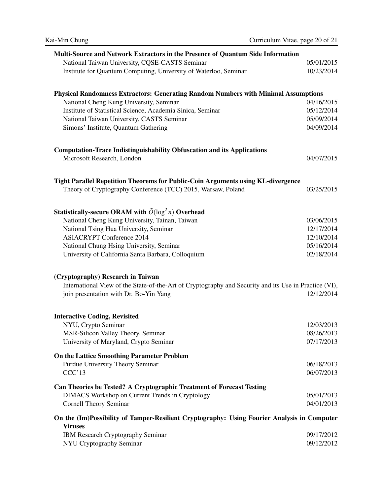| Multi-Source and Network Extractors in the Presence of Quantum Side Information                               |            |
|---------------------------------------------------------------------------------------------------------------|------------|
| National Taiwan University, CQSE-CASTS Seminar                                                                | 05/01/2015 |
| Institute for Quantum Computing, University of Waterloo, Seminar                                              | 10/23/2014 |
|                                                                                                               |            |
| <b>Physical Randomness Extractors: Generating Random Numbers with Minimal Assumptions</b>                     |            |
| National Cheng Kung University, Seminar                                                                       | 04/16/2015 |
| Institute of Statistical Science, Academia Sinica, Seminar                                                    | 05/12/2014 |
| National Taiwan University, CASTS Seminar                                                                     | 05/09/2014 |
| Simons' Institute, Quantum Gathering                                                                          | 04/09/2014 |
| <b>Computation-Trace Indistinguishability Obfuscation and its Applications</b>                                |            |
| Microsoft Research, London                                                                                    | 04/07/2015 |
|                                                                                                               |            |
| Tight Parallel Repetition Theorems for Public-Coin Arguments using KL-divergence                              |            |
| Theory of Cryptography Conference (TCC) 2015, Warsaw, Poland                                                  | 03/25/2015 |
|                                                                                                               |            |
| Statistically-secure ORAM with $\tilde{O}(\log^2 n)$ Overhead                                                 |            |
| National Cheng Kung University, Tainan, Taiwan                                                                | 03/06/2015 |
| National Tsing Hua University, Seminar                                                                        | 12/17/2014 |
| <b>ASIACRYPT Conference 2014</b>                                                                              | 12/10/2014 |
| National Chung Hsing University, Seminar                                                                      | 05/16/2014 |
| University of California Santa Barbara, Colloquium                                                            | 02/18/2014 |
| (Cryptography) Research in Taiwan                                                                             |            |
| International View of the State-of-the-Art of Cryptography and Security and its Use in Practice (VI),         |            |
| join presentation with Dr. Bo-Yin Yang                                                                        | 12/12/2014 |
|                                                                                                               |            |
| <b>Interactive Coding, Revisited</b>                                                                          |            |
| NYU, Crypto Seminar                                                                                           | 12/03/2013 |
| MSR-Silicon Valley Theory, Seminar                                                                            | 08/26/2013 |
| University of Maryland, Crypto Seminar                                                                        | 07/17/2013 |
| <b>On the Lattice Smoothing Parameter Problem</b>                                                             |            |
| Purdue University Theory Seminar                                                                              | 06/18/2013 |
| CCC'13                                                                                                        | 06/07/2013 |
| Can Theories be Tested? A Cryptographic Treatment of Forecast Testing                                         |            |
| <b>DIMACS</b> Workshop on Current Trends in Cryptology                                                        | 05/01/2013 |
| <b>Cornell Theory Seminar</b>                                                                                 | 04/01/2013 |
| On the (Im)Possibility of Tamper-Resilient Cryptography: Using Fourier Analysis in Computer<br><b>Viruses</b> |            |
| IBM Research Cryptography Seminar                                                                             | 09/17/2012 |
| NYU Cryptography Seminar                                                                                      | 09/12/2012 |
|                                                                                                               |            |